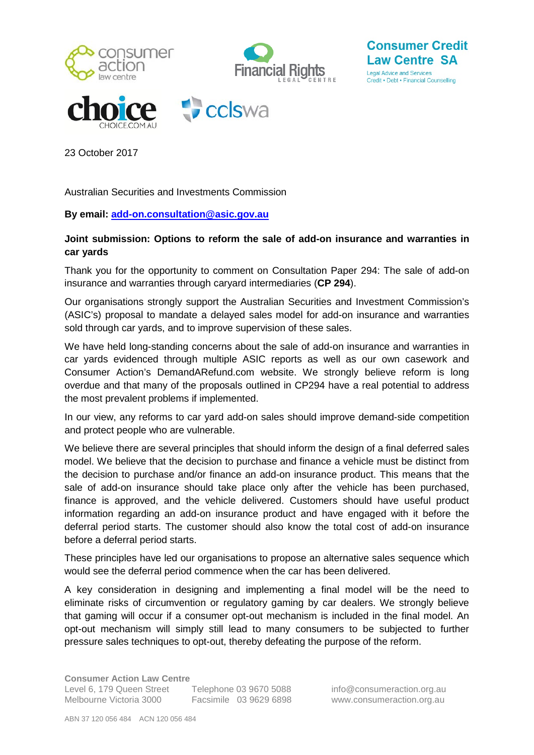

**Consumer Credit Law Centre SA** 

Legal Advice and Services Credit . Debt . Financial Counselling

23 October 2017

Australian Securities and Investments Commission

## **By email: [add-on.consultation@asic.gov.au](mailto:add-on.consultation@asic.gov.au)**

## **Joint submission: Options to reform the sale of add-on insurance and warranties in car yards**

Thank you for the opportunity to comment on Consultation Paper 294: The sale of add-on insurance and warranties through caryard intermediaries (**CP 294**).

Our organisations strongly support the Australian Securities and Investment Commission's (ASIC's) proposal to mandate a delayed sales model for add-on insurance and warranties sold through car yards, and to improve supervision of these sales.

We have held long-standing concerns about the sale of add-on insurance and warranties in car yards evidenced through multiple ASIC reports as well as our own casework and Consumer Action's DemandARefund.com website. We strongly believe reform is long overdue and that many of the proposals outlined in CP294 have a real potential to address the most prevalent problems if implemented.

In our view, any reforms to car yard add-on sales should improve demand-side competition and protect people who are vulnerable.

We believe there are several principles that should inform the design of a final deferred sales model. We believe that the decision to purchase and finance a vehicle must be distinct from the decision to purchase and/or finance an add-on insurance product. This means that the sale of add-on insurance should take place only after the vehicle has been purchased, finance is approved, and the vehicle delivered. Customers should have useful product information regarding an add-on insurance product and have engaged with it before the deferral period starts. The customer should also know the total cost of add-on insurance before a deferral period starts.

These principles have led our organisations to propose an alternative sales sequence which would see the deferral period commence when the car has been delivered.

A key consideration in designing and implementing a final model will be the need to eliminate risks of circumvention or regulatory gaming by car dealers. We strongly believe that gaming will occur if a consumer opt-out mechanism is included in the final model. An opt-out mechanism will simply still lead to many consumers to be subjected to further pressure sales techniques to opt-out, thereby defeating the purpose of the reform.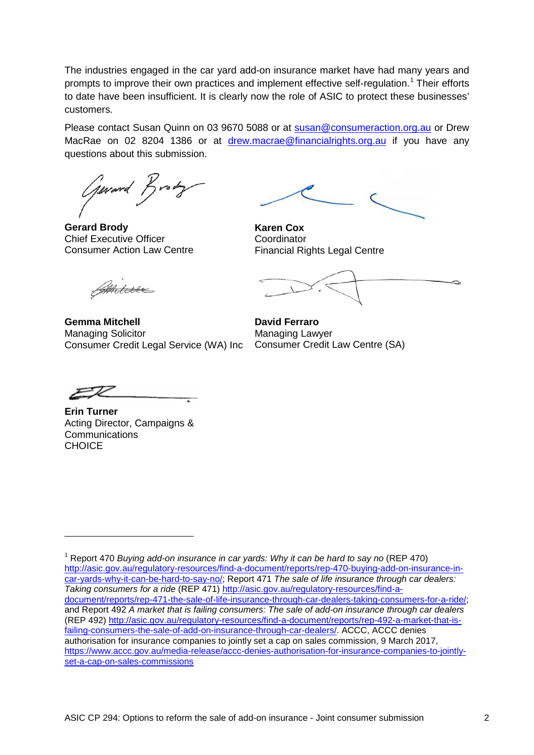The industries engaged in the car yard add-on insurance market have had many years and prompts to improve their own practices and implement effective self-regulation.<sup>[1](#page-1-0)</sup> Their efforts to date have been insufficient. It is clearly now the role of ASIC to protect these businesses' customers.

Please contact Susan Quinn on 03 9670 5088 or at [susan@consumeraction.org.au](mailto:susan@consumeraction.org.au) or Drew MacRae on 02 8204 1386 or at [drew.macrae@financialrights.org.au](mailto:drew.macrae@financialrights.org.au) if you have any questions about this submission.

General Brody

**Gerard Brody** Chief Executive Officer Consumer Action Law Centre

**Karen Cox Coordinator** Financial Rights Legal Centre

**David Ferraro** Managing Lawyer Consumer Credit Law Centre (SA)

Antere

**Gemma Mitchell** Managing Solicitor Consumer Credit Legal Service (WA) Inc

**Erin Turner** Acting Director, Campaigns & **Communications CHOICE** 

<span id="page-1-0"></span><sup>1</sup> Report 470 *Buying add-on insurance in car yards: Why it can be hard to say no* (REP 470) [http://asic.gov.au/regulatory-resources/find-a-document/reports/rep-470-buying-add-on-insurance-in](http://asic.gov.au/regulatory-resources/find-a-document/reports/rep-470-buying-add-on-insurance-in-car-yards-why-it-can-be-hard-to-say-no/)[car-yards-why-it-can-be-hard-to-say-no/;](http://asic.gov.au/regulatory-resources/find-a-document/reports/rep-470-buying-add-on-insurance-in-car-yards-why-it-can-be-hard-to-say-no/) Report 471 *The sale of life insurance through car dealers: Taking consumers for a ride* (REP 471) [http://asic.gov.au/regulatory-resources/find-a](http://asic.gov.au/regulatory-resources/find-a-document/reports/rep-471-the-sale-of-life-insurance-through-car-dealers-taking-consumers-for-a-ride/)[document/reports/rep-471-the-sale-of-life-insurance-through-car-dealers-taking-consumers-for-a-ride/;](http://asic.gov.au/regulatory-resources/find-a-document/reports/rep-471-the-sale-of-life-insurance-through-car-dealers-taking-consumers-for-a-ride/) and Report 492 *A market that is failing consumers: The sale of add-on insurance through car dealers*  (REP 492) [http://asic.gov.au/regulatory-resources/find-a-document/reports/rep-492-a-market-that-is](http://asic.gov.au/regulatory-resources/find-a-document/reports/rep-492-a-market-that-is-failing-consumers-the-sale-of-add-on-insurance-through-car-dealers/)[failing-consumers-the-sale-of-add-on-insurance-through-car-dealers/.](http://asic.gov.au/regulatory-resources/find-a-document/reports/rep-492-a-market-that-is-failing-consumers-the-sale-of-add-on-insurance-through-car-dealers/) ACCC, ACCC denies authorisation for insurance companies to jointly set a cap on sales commission, 9 March 2017, [https://www.accc.gov.au/media-release/accc-denies-authorisation-for-insurance-companies-to-jointly](https://www.accc.gov.au/media-release/accc-denies-authorisation-for-insurance-companies-to-jointly-set-a-cap-on-sales-commissions)[set-a-cap-on-sales-commissions](https://www.accc.gov.au/media-release/accc-denies-authorisation-for-insurance-companies-to-jointly-set-a-cap-on-sales-commissions)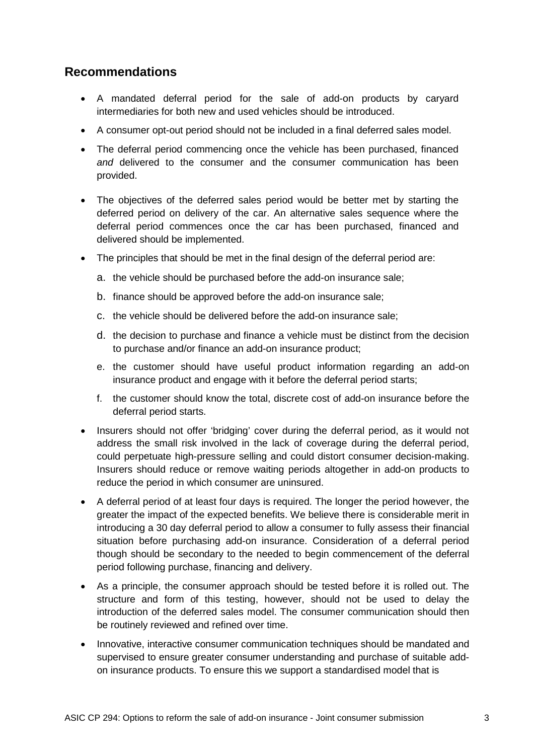# **Recommendations**

- A mandated deferral period for the sale of add-on products by caryard intermediaries for both new and used vehicles should be introduced.
- A consumer opt-out period should not be included in a final deferred sales model.
- The deferral period commencing once the vehicle has been purchased, financed *and* delivered to the consumer and the consumer communication has been provided.
- The objectives of the deferred sales period would be better met by starting the deferred period on delivery of the car. An alternative sales sequence where the deferral period commences once the car has been purchased, financed and delivered should be implemented.
- The principles that should be met in the final design of the deferral period are:
	- a. the vehicle should be purchased before the add-on insurance sale;
	- b. finance should be approved before the add-on insurance sale;
	- c. the vehicle should be delivered before the add-on insurance sale;
	- d. the decision to purchase and finance a vehicle must be distinct from the decision to purchase and/or finance an add-on insurance product;
	- e. the customer should have useful product information regarding an add-on insurance product and engage with it before the deferral period starts;
	- f. the customer should know the total, discrete cost of add-on insurance before the deferral period starts.
- Insurers should not offer 'bridging' cover during the deferral period, as it would not address the small risk involved in the lack of coverage during the deferral period, could perpetuate high-pressure selling and could distort consumer decision-making. Insurers should reduce or remove waiting periods altogether in add-on products to reduce the period in which consumer are uninsured.
- A deferral period of at least four days is required. The longer the period however, the greater the impact of the expected benefits. We believe there is considerable merit in introducing a 30 day deferral period to allow a consumer to fully assess their financial situation before purchasing add-on insurance. Consideration of a deferral period though should be secondary to the needed to begin commencement of the deferral period following purchase, financing and delivery.
- As a principle, the consumer approach should be tested before it is rolled out. The structure and form of this testing, however, should not be used to delay the introduction of the deferred sales model. The consumer communication should then be routinely reviewed and refined over time.
- Innovative, interactive consumer communication techniques should be mandated and supervised to ensure greater consumer understanding and purchase of suitable addon insurance products. To ensure this we support a standardised model that is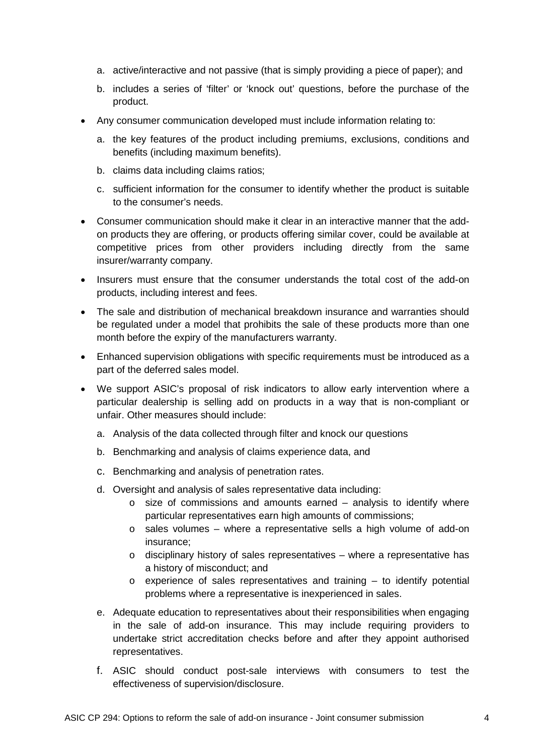- a. active/interactive and not passive (that is simply providing a piece of paper); and
- b. includes a series of 'filter' or 'knock out' questions, before the purchase of the product.
- Any consumer communication developed must include information relating to:
	- a. the key features of the product including premiums, exclusions, conditions and benefits (including maximum benefits).
	- b. claims data including claims ratios;
	- c. sufficient information for the consumer to identify whether the product is suitable to the consumer's needs.
- Consumer communication should make it clear in an interactive manner that the addon products they are offering, or products offering similar cover, could be available at competitive prices from other providers including directly from the same insurer/warranty company.
- Insurers must ensure that the consumer understands the total cost of the add-on products, including interest and fees.
- The sale and distribution of mechanical breakdown insurance and warranties should be regulated under a model that prohibits the sale of these products more than one month before the expiry of the manufacturers warranty.
- Enhanced supervision obligations with specific requirements must be introduced as a part of the deferred sales model.
- We support ASIC's proposal of risk indicators to allow early intervention where a particular dealership is selling add on products in a way that is non-compliant or unfair. Other measures should include:
	- a. Analysis of the data collected through filter and knock our questions
	- b. Benchmarking and analysis of claims experience data, and
	- c. Benchmarking and analysis of penetration rates.
	- d. Oversight and analysis of sales representative data including:
		- $\circ$  size of commissions and amounts earned analysis to identify where particular representatives earn high amounts of commissions;
		- o sales volumes where a representative sells a high volume of add-on insurance;
		- $\circ$  disciplinary history of sales representatives where a representative has a history of misconduct; and
		- $\circ$  experience of sales representatives and training to identify potential problems where a representative is inexperienced in sales.
	- e. Adequate education to representatives about their responsibilities when engaging in the sale of add-on insurance. This may include requiring providers to undertake strict accreditation checks before and after they appoint authorised representatives.
	- f. ASIC should conduct post-sale interviews with consumers to test the effectiveness of supervision/disclosure.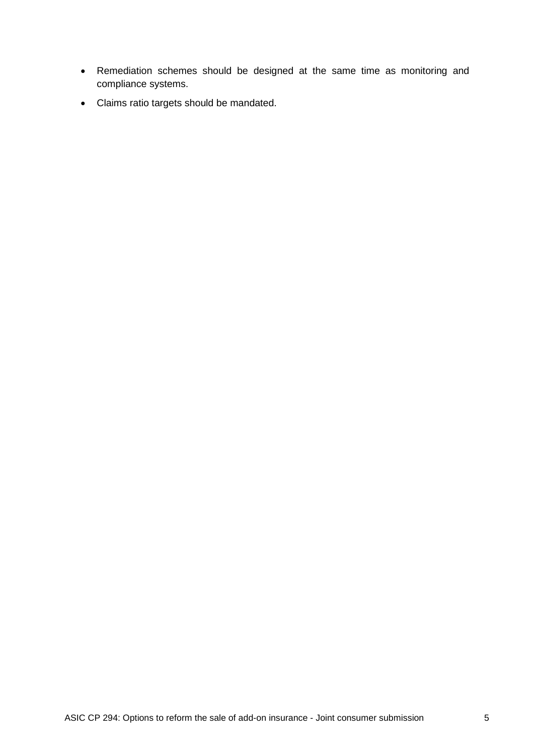- Remediation schemes should be designed at the same time as monitoring and compliance systems.
- Claims ratio targets should be mandated.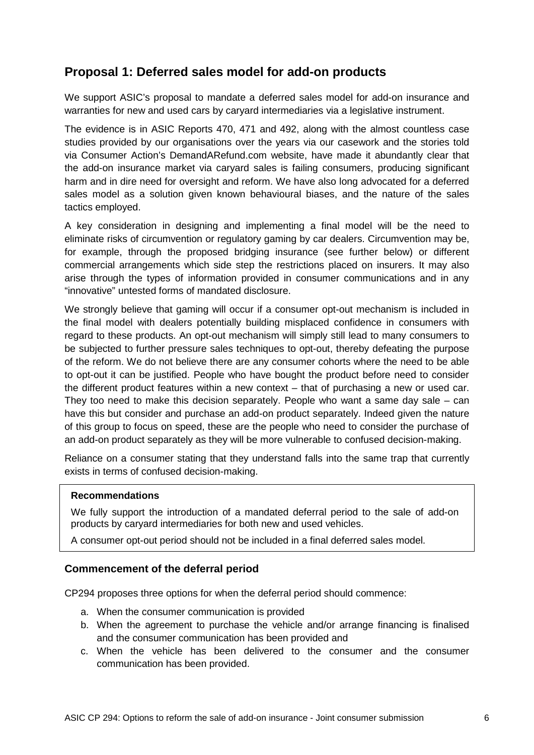# **Proposal 1: Deferred sales model for add-on products**

We support ASIC's proposal to mandate a deferred sales model for add-on insurance and warranties for new and used cars by caryard intermediaries via a legislative instrument.

The evidence is in ASIC Reports 470, 471 and 492, along with the almost countless case studies provided by our organisations over the years via our casework and the stories told via Consumer Action's DemandARefund.com website, have made it abundantly clear that the add-on insurance market via caryard sales is failing consumers, producing significant harm and in dire need for oversight and reform. We have also long advocated for a deferred sales model as a solution given known behavioural biases, and the nature of the sales tactics employed.

A key consideration in designing and implementing a final model will be the need to eliminate risks of circumvention or regulatory gaming by car dealers. Circumvention may be, for example, through the proposed bridging insurance (see further below) or different commercial arrangements which side step the restrictions placed on insurers. It may also arise through the types of information provided in consumer communications and in any "innovative" untested forms of mandated disclosure.

We strongly believe that gaming will occur if a consumer opt-out mechanism is included in the final model with dealers potentially building misplaced confidence in consumers with regard to these products. An opt-out mechanism will simply still lead to many consumers to be subjected to further pressure sales techniques to opt-out, thereby defeating the purpose of the reform. We do not believe there are any consumer cohorts where the need to be able to opt-out it can be justified. People who have bought the product before need to consider the different product features within a new context – that of purchasing a new or used car. They too need to make this decision separately. People who want a same day sale – can have this but consider and purchase an add-on product separately. Indeed given the nature of this group to focus on speed, these are the people who need to consider the purchase of an add-on product separately as they will be more vulnerable to confused decision-making.

Reliance on a consumer stating that they understand falls into the same trap that currently exists in terms of confused decision-making.

#### **Recommendations**

We fully support the introduction of a mandated deferral period to the sale of add-on products by caryard intermediaries for both new and used vehicles.

A consumer opt-out period should not be included in a final deferred sales model.

### **Commencement of the deferral period**

CP294 proposes three options for when the deferral period should commence:

- a. When the consumer communication is provided
- b. When the agreement to purchase the vehicle and/or arrange financing is finalised and the consumer communication has been provided and
- c. When the vehicle has been delivered to the consumer and the consumer communication has been provided.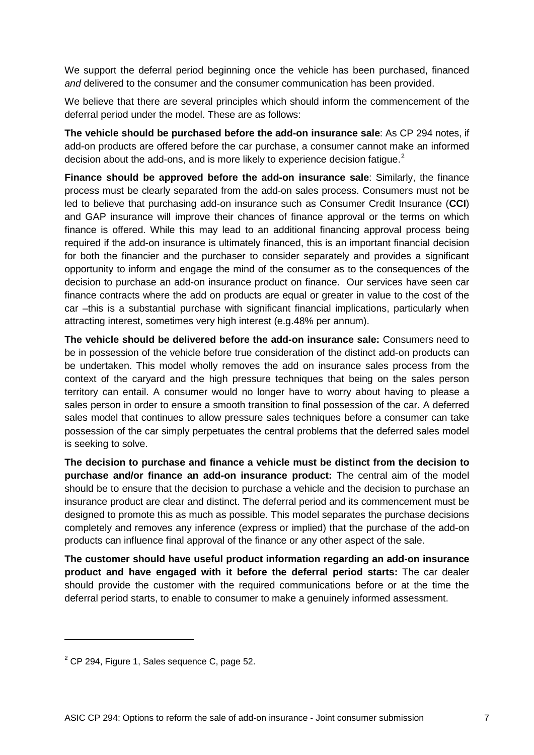We support the deferral period beginning once the vehicle has been purchased, financed *and* delivered to the consumer and the consumer communication has been provided.

We believe that there are several principles which should inform the commencement of the deferral period under the model. These are as follows:

**The vehicle should be purchased before the add-on insurance sale**: As CP 294 notes, if add-on products are offered before the car purchase, a consumer cannot make an informed decision about the add-ons, and is more likely to experience decision fatigue.<sup>[2](#page-6-0)</sup>

**Finance should be approved before the add-on insurance sale**: Similarly, the finance process must be clearly separated from the add-on sales process. Consumers must not be led to believe that purchasing add-on insurance such as Consumer Credit Insurance (**CCI**) and GAP insurance will improve their chances of finance approval or the terms on which finance is offered. While this may lead to an additional financing approval process being required if the add-on insurance is ultimately financed, this is an important financial decision for both the financier and the purchaser to consider separately and provides a significant opportunity to inform and engage the mind of the consumer as to the consequences of the decision to purchase an add-on insurance product on finance. Our services have seen car finance contracts where the add on products are equal or greater in value to the cost of the car –this is a substantial purchase with significant financial implications, particularly when attracting interest, sometimes very high interest (e.g.48% per annum).

**The vehicle should be delivered before the add-on insurance sale:** Consumers need to be in possession of the vehicle before true consideration of the distinct add-on products can be undertaken. This model wholly removes the add on insurance sales process from the context of the caryard and the high pressure techniques that being on the sales person territory can entail. A consumer would no longer have to worry about having to please a sales person in order to ensure a smooth transition to final possession of the car. A deferred sales model that continues to allow pressure sales techniques before a consumer can take possession of the car simply perpetuates the central problems that the deferred sales model is seeking to solve.

**The decision to purchase and finance a vehicle must be distinct from the decision to purchase and/or finance an add-on insurance product:** The central aim of the model should be to ensure that the decision to purchase a vehicle and the decision to purchase an insurance product are clear and distinct. The deferral period and its commencement must be designed to promote this as much as possible. This model separates the purchase decisions completely and removes any inference (express or implied) that the purchase of the add-on products can influence final approval of the finance or any other aspect of the sale.

**The customer should have useful product information regarding an add-on insurance product and have engaged with it before the deferral period starts:** The car dealer should provide the customer with the required communications before or at the time the deferral period starts, to enable to consumer to make a genuinely informed assessment.

<span id="page-6-0"></span> $2$  CP 294, Figure 1, Sales sequence C, page 52.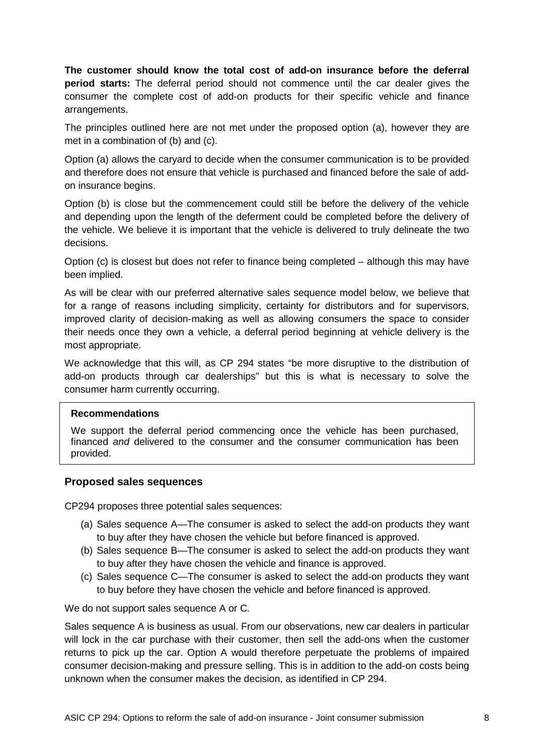**The customer should know the total cost of add-on insurance before the deferral period starts:** The deferral period should not commence until the car dealer gives the consumer the complete cost of add-on products for their specific vehicle and finance arrangements.

The principles outlined here are not met under the proposed option (a), however they are met in a combination of (b) and (c).

Option (a) allows the caryard to decide when the consumer communication is to be provided and therefore does not ensure that vehicle is purchased and financed before the sale of addon insurance begins.

Option (b) is close but the commencement could still be before the delivery of the vehicle and depending upon the length of the deferment could be completed before the delivery of the vehicle. We believe it is important that the vehicle is delivered to truly delineate the two decisions.

Option (c) is closest but does not refer to finance being completed – although this may have been implied.

As will be clear with our preferred alternative sales sequence model below, we believe that for a range of reasons including simplicity, certainty for distributors and for supervisors, improved clarity of decision-making as well as allowing consumers the space to consider their needs once they own a vehicle, a deferral period beginning at vehicle delivery is the most appropriate.

We acknowledge that this will, as CP 294 states "be more disruptive to the distribution of add-on products through car dealerships" but this is what is necessary to solve the consumer harm currently occurring.

#### **Recommendations**

We support the deferral period commencing once the vehicle has been purchased, financed *and* delivered to the consumer and the consumer communication has been provided.

### **Proposed sales sequences**

CP294 proposes three potential sales sequences:

- (a) Sales sequence A—The consumer is asked to select the add-on products they want to buy after they have chosen the vehicle but before financed is approved.
- (b) Sales sequence B—The consumer is asked to select the add-on products they want to buy after they have chosen the vehicle and finance is approved.
- (c) Sales sequence C—The consumer is asked to select the add-on products they want to buy before they have chosen the vehicle and before financed is approved.

We do not support sales sequence A or C.

Sales sequence A is business as usual. From our observations, new car dealers in particular will lock in the car purchase with their customer, then sell the add-ons when the customer returns to pick up the car. Option A would therefore perpetuate the problems of impaired consumer decision-making and pressure selling. This is in addition to the add-on costs being unknown when the consumer makes the decision, as identified in CP 294.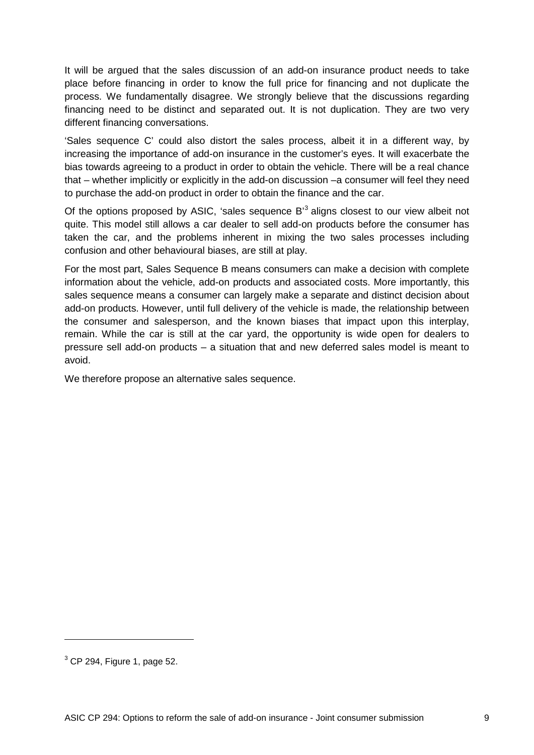It will be argued that the sales discussion of an add-on insurance product needs to take place before financing in order to know the full price for financing and not duplicate the process. We fundamentally disagree. We strongly believe that the discussions regarding financing need to be distinct and separated out. It is not duplication. They are two very different financing conversations.

'Sales sequence C' could also distort the sales process, albeit it in a different way, by increasing the importance of add-on insurance in the customer's eyes. It will exacerbate the bias towards agreeing to a product in order to obtain the vehicle. There will be a real chance that – whether implicitly or explicitly in the add-on discussion –a consumer will feel they need to purchase the add-on product in order to obtain the finance and the car.

Of the options proposed by ASIC, 'sales sequence B'<sup>[3](#page-8-0)</sup> aligns closest to our view albeit not quite. This model still allows a car dealer to sell add-on products before the consumer has taken the car, and the problems inherent in mixing the two sales processes including confusion and other behavioural biases, are still at play.

For the most part, Sales Sequence B means consumers can make a decision with complete information about the vehicle, add-on products and associated costs. More importantly, this sales sequence means a consumer can largely make a separate and distinct decision about add-on products. However, until full delivery of the vehicle is made, the relationship between the consumer and salesperson, and the known biases that impact upon this interplay, remain. While the car is still at the car yard, the opportunity is wide open for dealers to pressure sell add-on products – a situation that and new deferred sales model is meant to avoid.

We therefore propose an alternative sales sequence.

<span id="page-8-0"></span> $3$  CP 294, Figure 1, page 52.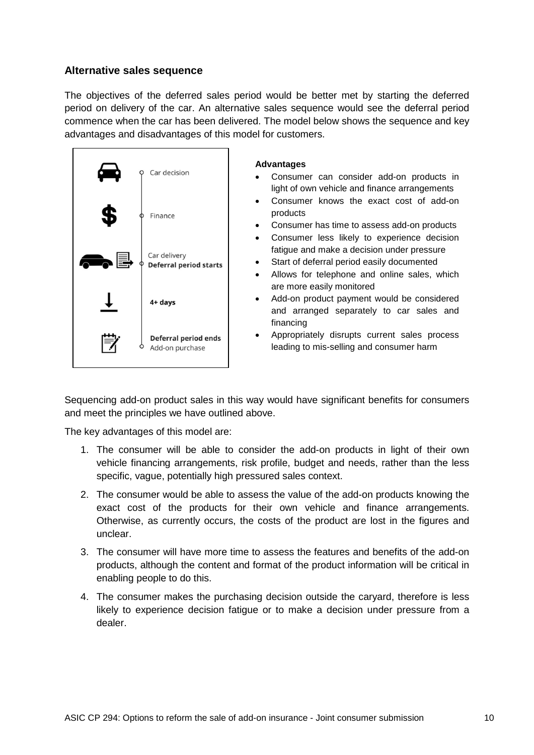## **Alternative sales sequence**

The objectives of the deferred sales period would be better met by starting the deferred period on delivery of the car. An alternative sales sequence would see the deferral period commence when the car has been delivered. The model below shows the sequence and key advantages and disadvantages of this model for customers.



#### **Advantages**

- Consumer can consider add-on products in light of own vehicle and finance arrangements
- Consumer knows the exact cost of add-on products
- Consumer has time to assess add-on products
- Consumer less likely to experience decision fatigue and make a decision under pressure
- Start of deferral period easily documented
- Allows for telephone and online sales, which are more easily monitored
- Add-on product payment would be considered and arranged separately to car sales and financing
- Appropriately disrupts current sales process leading to mis-selling and consumer harm

Sequencing add-on product sales in this way would have significant benefits for consumers and meet the principles we have outlined above.

The key advantages of this model are:

- 1. The consumer will be able to consider the add-on products in light of their own vehicle financing arrangements, risk profile, budget and needs, rather than the less specific, vague, potentially high pressured sales context.
- 2. The consumer would be able to assess the value of the add-on products knowing the exact cost of the products for their own vehicle and finance arrangements. Otherwise, as currently occurs, the costs of the product are lost in the figures and unclear.
- 3. The consumer will have more time to assess the features and benefits of the add-on products, although the content and format of the product information will be critical in enabling people to do this.
- 4. The consumer makes the purchasing decision outside the caryard, therefore is less likely to experience decision fatigue or to make a decision under pressure from a dealer.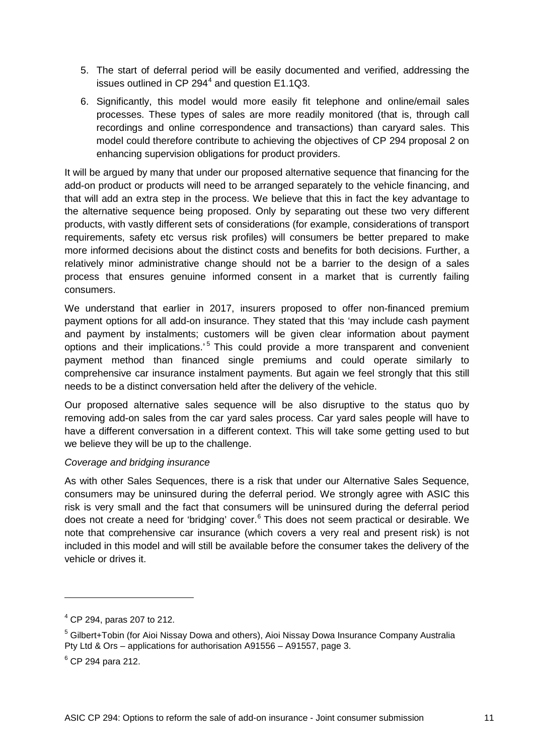- 5. The start of deferral period will be easily documented and verified, addressing the issues outlined in CP 29[4](#page-10-0) $4$  and question E1.1Q3.
- 6. Significantly, this model would more easily fit telephone and online/email sales processes. These types of sales are more readily monitored (that is, through call recordings and online correspondence and transactions) than caryard sales. This model could therefore contribute to achieving the objectives of CP 294 proposal 2 on enhancing supervision obligations for product providers.

It will be argued by many that under our proposed alternative sequence that financing for the add-on product or products will need to be arranged separately to the vehicle financing, and that will add an extra step in the process. We believe that this in fact the key advantage to the alternative sequence being proposed. Only by separating out these two very different products, with vastly different sets of considerations (for example, considerations of transport requirements, safety etc versus risk profiles) will consumers be better prepared to make more informed decisions about the distinct costs and benefits for both decisions. Further, a relatively minor administrative change should not be a barrier to the design of a sales process that ensures genuine informed consent in a market that is currently failing consumers.

We understand that earlier in 2017, insurers proposed to offer non-financed premium payment options for all add-on insurance. They stated that this 'may include cash payment and payment by instalments; customers will be given clear information about payment options and their implications.' [5](#page-10-1) This could provide a more transparent and convenient payment method than financed single premiums and could operate similarly to comprehensive car insurance instalment payments. But again we feel strongly that this still needs to be a distinct conversation held after the delivery of the vehicle.

Our proposed alternative sales sequence will be also disruptive to the status quo by removing add-on sales from the car yard sales process. Car yard sales people will have to have a different conversation in a different context. This will take some getting used to but we believe they will be up to the challenge.

### *Coverage and bridging insurance*

As with other Sales Sequences, there is a risk that under our Alternative Sales Sequence, consumers may be uninsured during the deferral period. We strongly agree with ASIC this risk is very small and the fact that consumers will be uninsured during the deferral period does not create a need for 'bridging' cover.<sup>[6](#page-10-2)</sup> This does not seem practical or desirable. We note that comprehensive car insurance (which covers a very real and present risk) is not included in this model and will still be available before the consumer takes the delivery of the vehicle or drives it.

<span id="page-10-0"></span> $4$  CP 294, paras 207 to 212.

<span id="page-10-1"></span><sup>5</sup> Gilbert+Tobin (for Aioi Nissay Dowa and others), Aioi Nissay Dowa Insurance Company Australia Pty Ltd & Ors – applications for authorisation A91556 – A91557, page 3.

<span id="page-10-2"></span> $6$  CP 294 para 212.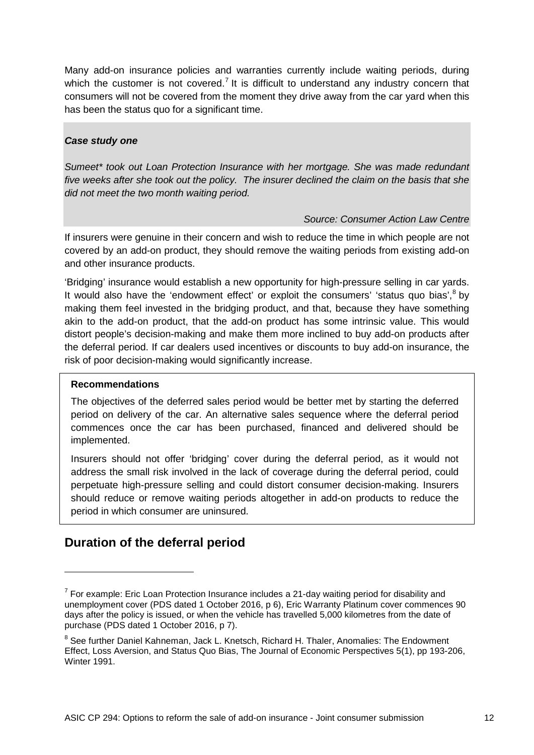Many add-on insurance policies and warranties currently include waiting periods, during which the customer is not covered.<sup>[7](#page-11-0)</sup> It is difficult to understand any industry concern that consumers will not be covered from the moment they drive away from the car yard when this has been the status quo for a significant time.

### *Case study one*

*Sumeet\* took out Loan Protection Insurance with her mortgage. She was made redundant five weeks after she took out the policy. The insurer declined the claim on the basis that she did not meet the two month waiting period.* 

### *Source: Consumer Action Law Centre*

If insurers were genuine in their concern and wish to reduce the time in which people are not covered by an add-on product, they should remove the waiting periods from existing add-on and other insurance products.

'Bridging' insurance would establish a new opportunity for high-pressure selling in car yards. It would also have the 'endowment effect' or exploit the consumers' 'status quo bias', $8$  by making them feel invested in the bridging product, and that, because they have something akin to the add-on product, that the add-on product has some intrinsic value. This would distort people's decision-making and make them more inclined to buy add-on products after the deferral period. If car dealers used incentives or discounts to buy add-on insurance, the risk of poor decision-making would significantly increase.

### **Recommendations**

-

The objectives of the deferred sales period would be better met by starting the deferred period on delivery of the car. An alternative sales sequence where the deferral period commences once the car has been purchased, financed and delivered should be implemented.

Insurers should not offer 'bridging' cover during the deferral period, as it would not address the small risk involved in the lack of coverage during the deferral period, could perpetuate high-pressure selling and could distort consumer decision-making. Insurers should reduce or remove waiting periods altogether in add-on products to reduce the period in which consumer are uninsured.

# **Duration of the deferral period**

<span id="page-11-0"></span> $7$  For example: Eric Loan Protection Insurance includes a 21-day waiting period for disability and unemployment cover (PDS dated 1 October 2016, p 6), Eric Warranty Platinum cover commences 90 days after the policy is issued, or when the vehicle has travelled 5,000 kilometres from the date of purchase (PDS dated 1 October 2016, p 7).

<span id="page-11-1"></span><sup>&</sup>lt;sup>8</sup> See further Daniel Kahneman, Jack L. Knetsch, Richard H. Thaler, Anomalies: The Endowment Effect, Loss Aversion, and Status Quo Bias, The Journal of Economic Perspectives 5(1), pp 193-206, Winter 1991.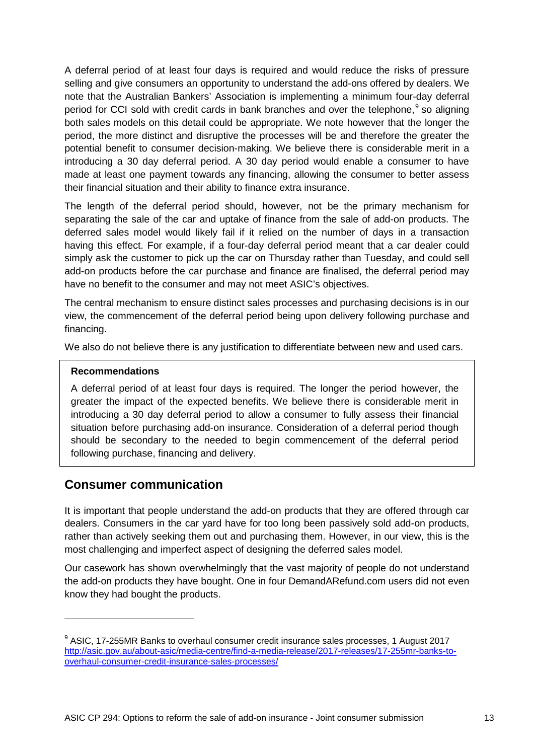A deferral period of at least four days is required and would reduce the risks of pressure selling and give consumers an opportunity to understand the add-ons offered by dealers. We note that the Australian Bankers' Association is implementing a minimum four-day deferral period for CCI sold with credit cards in bank branches and over the telephone,<sup>[9](#page-12-0)</sup> so aligning both sales models on this detail could be appropriate. We note however that the longer the period, the more distinct and disruptive the processes will be and therefore the greater the potential benefit to consumer decision-making. We believe there is considerable merit in a introducing a 30 day deferral period. A 30 day period would enable a consumer to have made at least one payment towards any financing, allowing the consumer to better assess their financial situation and their ability to finance extra insurance.

The length of the deferral period should, however, not be the primary mechanism for separating the sale of the car and uptake of finance from the sale of add-on products. The deferred sales model would likely fail if it relied on the number of days in a transaction having this effect. For example, if a four-day deferral period meant that a car dealer could simply ask the customer to pick up the car on Thursday rather than Tuesday, and could sell add-on products before the car purchase and finance are finalised, the deferral period may have no benefit to the consumer and may not meet ASIC's objectives.

The central mechanism to ensure distinct sales processes and purchasing decisions is in our view, the commencement of the deferral period being upon delivery following purchase and financing.

We also do not believe there is any justification to differentiate between new and used cars.

## **Recommendations**

-

A deferral period of at least four days is required. The longer the period however, the greater the impact of the expected benefits. We believe there is considerable merit in introducing a 30 day deferral period to allow a consumer to fully assess their financial situation before purchasing add-on insurance. Consideration of a deferral period though should be secondary to the needed to begin commencement of the deferral period following purchase, financing and delivery.

# **Consumer communication**

It is important that people understand the add-on products that they are offered through car dealers. Consumers in the car yard have for too long been passively sold add-on products, rather than actively seeking them out and purchasing them. However, in our view, this is the most challenging and imperfect aspect of designing the deferred sales model.

Our casework has shown overwhelmingly that the vast majority of people do not understand the add-on products they have bought. One in four DemandARefund.com users did not even know they had bought the products.

<span id="page-12-0"></span> $9$  ASIC. 17-255MR Banks to overhaul consumer credit insurance sales processes, 1 August 2017 [http://asic.gov.au/about-asic/media-centre/find-a-media-release/2017-releases/17-255mr-banks-to](http://asic.gov.au/about-asic/media-centre/find-a-media-release/2017-releases/17-255mr-banks-to-overhaul-consumer-credit-insurance-sales-processes/)[overhaul-consumer-credit-insurance-sales-processes/](http://asic.gov.au/about-asic/media-centre/find-a-media-release/2017-releases/17-255mr-banks-to-overhaul-consumer-credit-insurance-sales-processes/)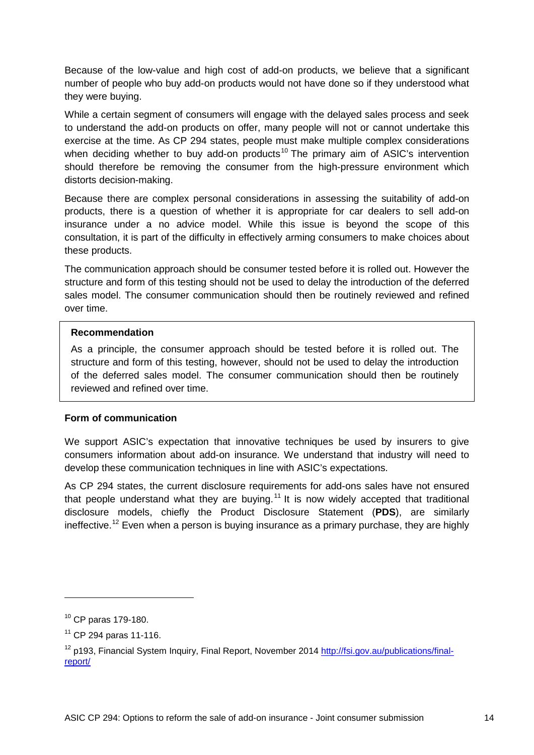Because of the low-value and high cost of add-on products, we believe that a significant number of people who buy add-on products would not have done so if they understood what they were buying.

While a certain segment of consumers will engage with the delayed sales process and seek to understand the add-on products on offer, many people will not or cannot undertake this exercise at the time. As CP 294 states, people must make multiple complex considerations when deciding whether to buy add-on products<sup>[10](#page-13-0)</sup> The primary aim of ASIC's intervention should therefore be removing the consumer from the high-pressure environment which distorts decision-making.

Because there are complex personal considerations in assessing the suitability of add-on products, there is a question of whether it is appropriate for car dealers to sell add-on insurance under a no advice model. While this issue is beyond the scope of this consultation, it is part of the difficulty in effectively arming consumers to make choices about these products.

The communication approach should be consumer tested before it is rolled out. However the structure and form of this testing should not be used to delay the introduction of the deferred sales model. The consumer communication should then be routinely reviewed and refined over time.

#### **Recommendation**

As a principle, the consumer approach should be tested before it is rolled out. The structure and form of this testing, however, should not be used to delay the introduction of the deferred sales model. The consumer communication should then be routinely reviewed and refined over time.

### **Form of communication**

We support ASIC's expectation that innovative techniques be used by insurers to give consumers information about add-on insurance. We understand that industry will need to develop these communication techniques in line with ASIC's expectations.

As CP 294 states, the current disclosure requirements for add-ons sales have not ensured that people understand what they are buying.<sup>[11](#page-13-1)</sup> It is now widely accepted that traditional disclosure models, chiefly the Product Disclosure Statement (**PDS**), are similarly ineffective.<sup>[12](#page-13-2)</sup> Even when a person is buying insurance as a primary purchase, they are highly

<span id="page-13-0"></span><sup>10</sup> CP paras 179-180.

<span id="page-13-1"></span> $11$  CP 294 paras 11-116.

<span id="page-13-2"></span><sup>&</sup>lt;sup>12</sup> p193, Financial System Inquiry, Final Report, November 2014 [http://fsi.gov.au/publications/final](http://fsi.gov.au/publications/final-report/)[report/](http://fsi.gov.au/publications/final-report/)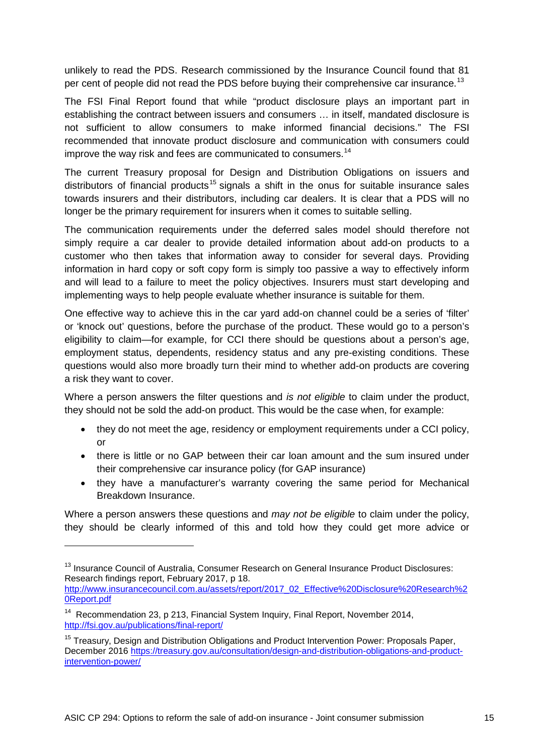unlikely to read the PDS. Research commissioned by the Insurance Council found that 81 per cent of people did not read the PDS before buying their comprehensive car insurance.<sup>[13](#page-14-0)</sup>

The FSI Final Report found that while "product disclosure plays an important part in establishing the contract between issuers and consumers … in itself, mandated disclosure is not sufficient to allow consumers to make informed financial decisions." The FSI recommended that innovate product disclosure and communication with consumers could improve the way risk and fees are communicated to consumers.<sup>[14](#page-14-1)</sup>

The current Treasury proposal for Design and Distribution Obligations on issuers and distributors of financial products<sup>[15](#page-14-2)</sup> signals a shift in the onus for suitable insurance sales towards insurers and their distributors, including car dealers. It is clear that a PDS will no longer be the primary requirement for insurers when it comes to suitable selling.

The communication requirements under the deferred sales model should therefore not simply require a car dealer to provide detailed information about add-on products to a customer who then takes that information away to consider for several days. Providing information in hard copy or soft copy form is simply too passive a way to effectively inform and will lead to a failure to meet the policy objectives. Insurers must start developing and implementing ways to help people evaluate whether insurance is suitable for them.

One effective way to achieve this in the car yard add-on channel could be a series of 'filter' or 'knock out' questions, before the purchase of the product. These would go to a person's eligibility to claim—for example, for CCI there should be questions about a person's age, employment status, dependents, residency status and any pre-existing conditions. These questions would also more broadly turn their mind to whether add-on products are covering a risk they want to cover.

Where a person answers the filter questions and *is not eligible* to claim under the product, they should not be sold the add-on product. This would be the case when, for example:

- they do not meet the age, residency or employment requirements under a CCI policy, or
- there is little or no GAP between their car loan amount and the sum insured under their comprehensive car insurance policy (for GAP insurance)
- they have a manufacturer's warranty covering the same period for Mechanical Breakdown Insurance.

Where a person answers these questions and *may not be eligible* to claim under the policy, they should be clearly informed of this and told how they could get more advice or

[http://www.insurancecouncil.com.au/assets/report/2017\\_02\\_Effective%20Disclosure%20Research%2](http://www.insurancecouncil.com.au/assets/report/2017_02_Effective%20Disclosure%20Research%20Report.pdf) [0Report.pdf](http://www.insurancecouncil.com.au/assets/report/2017_02_Effective%20Disclosure%20Research%20Report.pdf)

<span id="page-14-0"></span><sup>&</sup>lt;sup>13</sup> Insurance Council of Australia, Consumer Research on General Insurance Product Disclosures: Research findings report, February 2017, p 18.

<span id="page-14-1"></span><sup>&</sup>lt;sup>14</sup> Recommendation 23, p 213, Financial System Inquiry, Final Report, November 2014, <http://fsi.gov.au/publications/final-report/>

<span id="page-14-2"></span><sup>&</sup>lt;sup>15</sup> Treasury, Design and Distribution Obligations and Product Intervention Power: Proposals Paper, December 2016 [https://treasury.gov.au/consultation/design-and-distribution-obligations-and-product](https://treasury.gov.au/consultation/design-and-distribution-obligations-and-product-intervention-power/)[intervention-power/](https://treasury.gov.au/consultation/design-and-distribution-obligations-and-product-intervention-power/)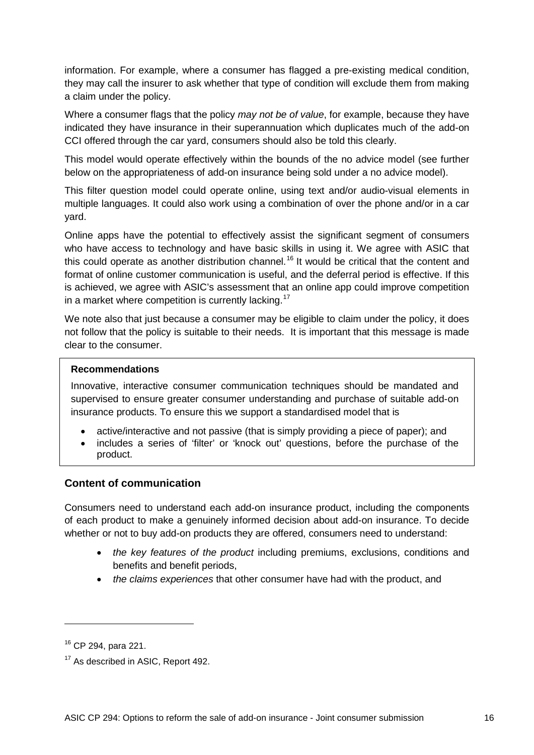information. For example, where a consumer has flagged a pre-existing medical condition, they may call the insurer to ask whether that type of condition will exclude them from making a claim under the policy.

Where a consumer flags that the policy *may not be of value*, for example, because they have indicated they have insurance in their superannuation which duplicates much of the add-on CCI offered through the car yard, consumers should also be told this clearly.

This model would operate effectively within the bounds of the no advice model (see further below on the appropriateness of add-on insurance being sold under a no advice model).

This filter question model could operate online, using text and/or audio-visual elements in multiple languages. It could also work using a combination of over the phone and/or in a car yard.

Online apps have the potential to effectively assist the significant segment of consumers who have access to technology and have basic skills in using it. We agree with ASIC that this could operate as another distribution channel.<sup>[16](#page-15-0)</sup> It would be critical that the content and format of online customer communication is useful, and the deferral period is effective. If this is achieved, we agree with ASIC's assessment that an online app could improve competition in a market where competition is currently lacking.<sup>[17](#page-15-1)</sup>

We note also that just because a consumer may be eligible to claim under the policy, it does not follow that the policy is suitable to their needs. It is important that this message is made clear to the consumer.

### **Recommendations**

Innovative, interactive consumer communication techniques should be mandated and supervised to ensure greater consumer understanding and purchase of suitable add-on insurance products. To ensure this we support a standardised model that is

- active/interactive and not passive (that is simply providing a piece of paper); and
- includes a series of 'filter' or 'knock out' questions, before the purchase of the product.

## **Content of communication**

Consumers need to understand each add-on insurance product, including the components of each product to make a genuinely informed decision about add-on insurance. To decide whether or not to buy add-on products they are offered, consumers need to understand:

- *the key features of the product* including premiums, exclusions, conditions and benefits and benefit periods,
- *the claims experiences* that other consumer have had with the product, and

<span id="page-15-0"></span><sup>16</sup> CP 294, para 221.

<span id="page-15-1"></span><sup>&</sup>lt;sup>17</sup> As described in ASIC, Report 492.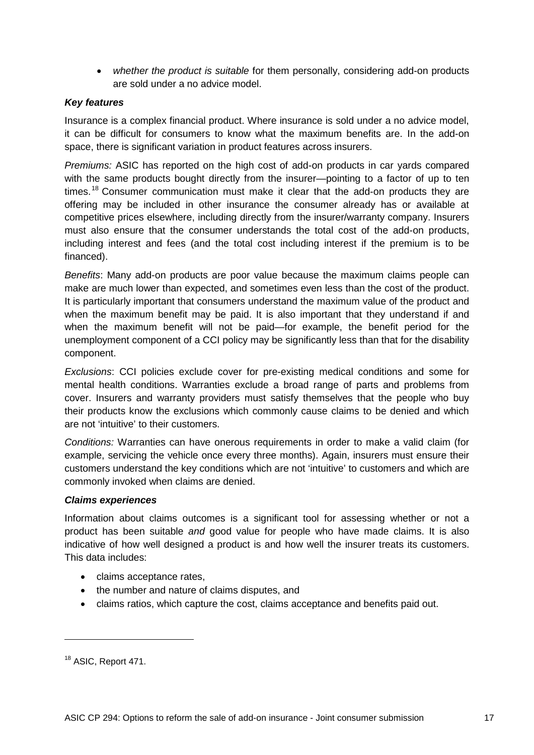• *whether the product is suitable* for them personally, considering add-on products are sold under a no advice model.

## *Key features*

Insurance is a complex financial product. Where insurance is sold under a no advice model, it can be difficult for consumers to know what the maximum benefits are. In the add-on space, there is significant variation in product features across insurers.

*Premiums:* ASIC has reported on the high cost of add-on products in car yards compared with the same products bought directly from the insurer—pointing to a factor of up to ten times.<sup>[18](#page-16-0)</sup> Consumer communication must make it clear that the add-on products they are offering may be included in other insurance the consumer already has or available at competitive prices elsewhere, including directly from the insurer/warranty company. Insurers must also ensure that the consumer understands the total cost of the add-on products, including interest and fees (and the total cost including interest if the premium is to be financed).

*Benefits*: Many add-on products are poor value because the maximum claims people can make are much lower than expected, and sometimes even less than the cost of the product. It is particularly important that consumers understand the maximum value of the product and when the maximum benefit may be paid. It is also important that they understand if and when the maximum benefit will not be paid—for example, the benefit period for the unemployment component of a CCI policy may be significantly less than that for the disability component.

*Exclusions*: CCI policies exclude cover for pre-existing medical conditions and some for mental health conditions. Warranties exclude a broad range of parts and problems from cover. Insurers and warranty providers must satisfy themselves that the people who buy their products know the exclusions which commonly cause claims to be denied and which are not 'intuitive' to their customers.

*Conditions:* Warranties can have onerous requirements in order to make a valid claim (for example, servicing the vehicle once every three months). Again, insurers must ensure their customers understand the key conditions which are not 'intuitive' to customers and which are commonly invoked when claims are denied.

### *Claims experiences*

Information about claims outcomes is a significant tool for assessing whether or not a product has been suitable *and* good value for people who have made claims. It is also indicative of how well designed a product is and how well the insurer treats its customers. This data includes:

- claims acceptance rates,
- the number and nature of claims disputes, and
- claims ratios, which capture the cost, claims acceptance and benefits paid out.

<span id="page-16-0"></span><sup>18</sup> ASIC, Report 471.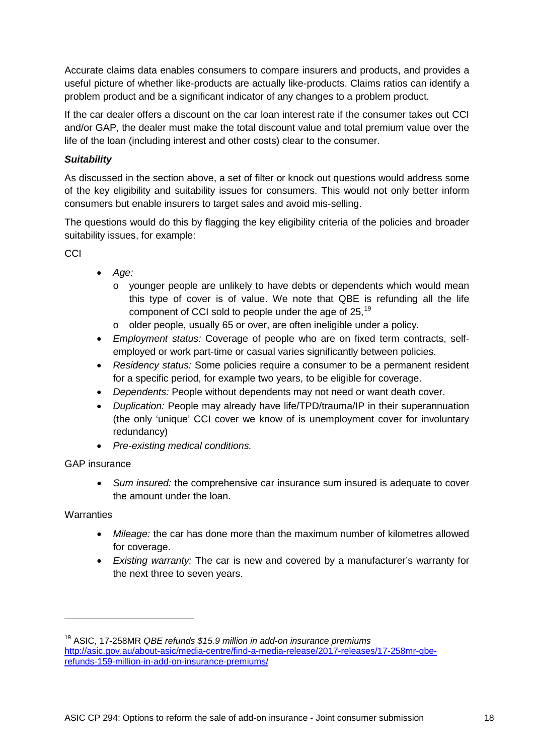Accurate claims data enables consumers to compare insurers and products, and provides a useful picture of whether like-products are actually like-products. Claims ratios can identify a problem product and be a significant indicator of any changes to a problem product.

If the car dealer offers a discount on the car loan interest rate if the consumer takes out CCI and/or GAP, the dealer must make the total discount value and total premium value over the life of the loan (including interest and other costs) clear to the consumer.

## *Suitability*

As discussed in the section above, a set of filter or knock out questions would address some of the key eligibility and suitability issues for consumers. This would not only better inform consumers but enable insurers to target sales and avoid mis-selling.

The questions would do this by flagging the key eligibility criteria of the policies and broader suitability issues, for example:

**CCI** 

- *Age:*
	- o younger people are unlikely to have debts or dependents which would mean this type of cover is of value. We note that QBE is refunding all the life component of CCI sold to people under the age of 25,<sup>[19](#page-17-0)</sup>
	- o older people, usually 65 or over, are often ineligible under a policy.
- *Employment status:* Coverage of people who are on fixed term contracts, selfemployed or work part-time or casual varies significantly between policies.
- *Residency status:* Some policies require a consumer to be a permanent resident for a specific period, for example two years, to be eligible for coverage.
- *Dependents:* People without dependents may not need or want death cover.
- *Duplication:* People may already have life/TPD/trauma/IP in their superannuation (the only 'unique' CCI cover we know of is unemployment cover for involuntary redundancy)
- *Pre-existing medical conditions.*

## GAP insurance

• *Sum insured:* the comprehensive car insurance sum insured is adequate to cover the amount under the loan.

## **Warranties**

- *Mileage:* the car has done more than the maximum number of kilometres allowed for coverage.
- *Existing warranty:* The car is new and covered by a manufacturer's warranty for the next three to seven years.

<span id="page-17-0"></span><sup>19</sup> ASIC, 17-258MR *QBE refunds \$15.9 million in add-on insurance premiums* [http://asic.gov.au/about-asic/media-centre/find-a-media-release/2017-releases/17-258mr-qbe](http://asic.gov.au/about-asic/media-centre/find-a-media-release/2017-releases/17-258mr-qbe-refunds-159-million-in-add-on-insurance-premiums/)[refunds-159-million-in-add-on-insurance-premiums/](http://asic.gov.au/about-asic/media-centre/find-a-media-release/2017-releases/17-258mr-qbe-refunds-159-million-in-add-on-insurance-premiums/)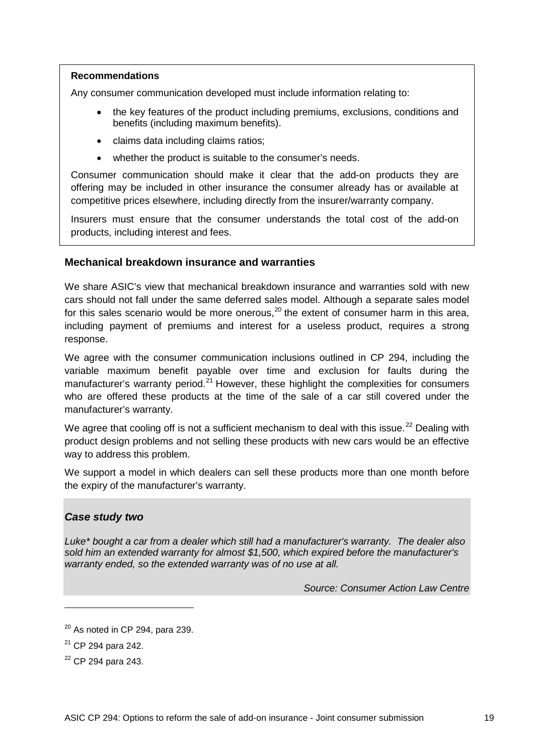### **Recommendations**

Any consumer communication developed must include information relating to:

- the key features of the product including premiums, exclusions, conditions and benefits (including maximum benefits).
- claims data including claims ratios;
- whether the product is suitable to the consumer's needs.

Consumer communication should make it clear that the add-on products they are offering may be included in other insurance the consumer already has or available at competitive prices elsewhere, including directly from the insurer/warranty company.

Insurers must ensure that the consumer understands the total cost of the add-on products, including interest and fees.

### **Mechanical breakdown insurance and warranties**

We share ASIC's view that mechanical breakdown insurance and warranties sold with new cars should not fall under the same deferred sales model. Although a separate sales model for this sales scenario would be more onerous,<sup>[20](#page-18-0)</sup> the extent of consumer harm in this area, including payment of premiums and interest for a useless product, requires a strong response.

We agree with the consumer communication inclusions outlined in CP 294, including the variable maximum benefit payable over time and exclusion for faults during the manufacturer's warranty period.<sup>[21](#page-18-1)</sup> However, these highlight the complexities for consumers who are offered these products at the time of the sale of a car still covered under the manufacturer's warranty.

We agree that cooling off is not a sufficient mechanism to deal with this issue.<sup>[22](#page-18-2)</sup> Dealing with product design problems and not selling these products with new cars would be an effective way to address this problem.

We support a model in which dealers can sell these products more than one month before the expiry of the manufacturer's warranty.

### *Case study two*

*Luke\* bought a car from a dealer which still had a manufacturer's warranty. The dealer also sold him an extended warranty for almost \$1,500, which expired before the manufacturer's warranty ended, so the extended warranty was of no use at all.*

*Source: Consumer Action Law Centre*

<span id="page-18-0"></span> $20$  As noted in CP 294, para 239.

<span id="page-18-1"></span><sup>21</sup> CP 294 para 242.

<span id="page-18-2"></span><sup>22</sup> CP 294 para 243.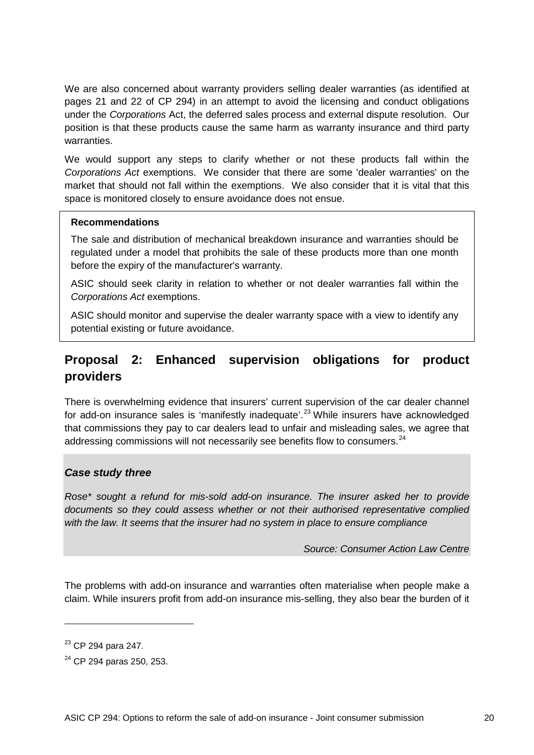We are also concerned about warranty providers selling dealer warranties (as identified at pages 21 and 22 of CP 294) in an attempt to avoid the licensing and conduct obligations under the *Corporations* Act, the deferred sales process and external dispute resolution. Our position is that these products cause the same harm as warranty insurance and third party warranties.

We would support any steps to clarify whether or not these products fall within the *Corporations Act* exemptions. We consider that there are some 'dealer warranties' on the market that should not fall within the exemptions. We also consider that it is vital that this space is monitored closely to ensure avoidance does not ensue.

### **Recommendations**

The sale and distribution of mechanical breakdown insurance and warranties should be regulated under a model that prohibits the sale of these products more than one month before the expiry of the manufacturer's warranty.

ASIC should seek clarity in relation to whether or not dealer warranties fall within the *Corporations Act* exemptions.

ASIC should monitor and supervise the dealer warranty space with a view to identify any potential existing or future avoidance.

# **Proposal 2: Enhanced supervision obligations for product providers**

There is overwhelming evidence that insurers' current supervision of the car dealer channel for add-on insurance sales is 'manifestly inadequate'.<sup>[23](#page-19-0)</sup> While insurers have acknowledged that commissions they pay to car dealers lead to unfair and misleading sales, we agree that addressing commissions will not necessarily see benefits flow to consumers.<sup>[24](#page-19-1)</sup>

## *Case study three*

*Rose\* sought a refund for mis-sold add-on insurance. The insurer asked her to provide documents so they could assess whether or not their authorised representative complied with the law. It seems that the insurer had no system in place to ensure compliance*

*Source: Consumer Action Law Centre* 

The problems with add-on insurance and warranties often materialise when people make a claim. While insurers profit from add-on insurance mis-selling, they also bear the burden of it

<span id="page-19-0"></span><sup>&</sup>lt;sup>23</sup> CP 294 para 247.

<span id="page-19-1"></span><sup>&</sup>lt;sup>24</sup> CP 294 paras 250, 253.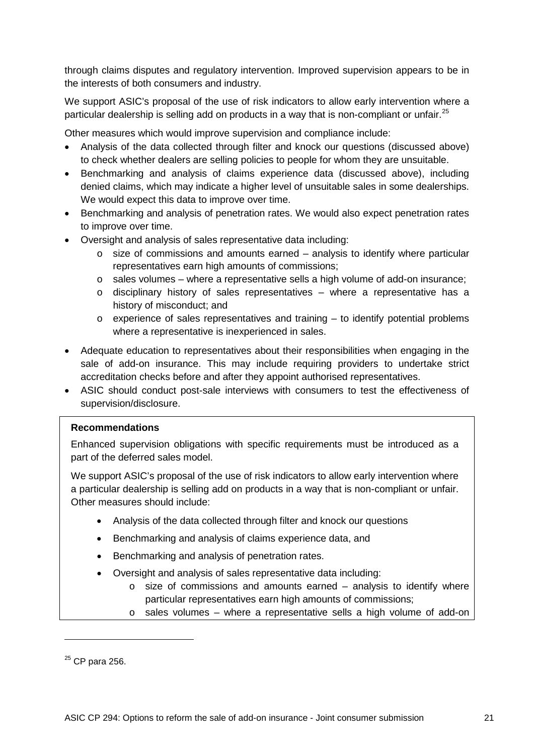through claims disputes and regulatory intervention. Improved supervision appears to be in the interests of both consumers and industry.

We support ASIC's proposal of the use of risk indicators to allow early intervention where a particular dealership is selling add on products in a way that is non-compliant or unfair.<sup>[25](#page-20-0)</sup>

Other measures which would improve supervision and compliance include:

- Analysis of the data collected through filter and knock our questions (discussed above) to check whether dealers are selling policies to people for whom they are unsuitable.
- Benchmarking and analysis of claims experience data (discussed above), including denied claims, which may indicate a higher level of unsuitable sales in some dealerships. We would expect this data to improve over time.
- Benchmarking and analysis of penetration rates. We would also expect penetration rates to improve over time.
- Oversight and analysis of sales representative data including:
	- $\circ$  size of commissions and amounts earned analysis to identify where particular representatives earn high amounts of commissions;
	- $\circ$  sales volumes where a representative sells a high volume of add-on insurance;
	- o disciplinary history of sales representatives where a representative has a history of misconduct; and
	- o experience of sales representatives and training to identify potential problems where a representative is inexperienced in sales.
- Adequate education to representatives about their responsibilities when engaging in the sale of add-on insurance. This may include requiring providers to undertake strict accreditation checks before and after they appoint authorised representatives.
- ASIC should conduct post-sale interviews with consumers to test the effectiveness of supervision/disclosure.

### **Recommendations**

Enhanced supervision obligations with specific requirements must be introduced as a part of the deferred sales model.

We support ASIC's proposal of the use of risk indicators to allow early intervention where a particular dealership is selling add on products in a way that is non-compliant or unfair. Other measures should include:

- Analysis of the data collected through filter and knock our questions
- Benchmarking and analysis of claims experience data, and
- Benchmarking and analysis of penetration rates.
- Oversight and analysis of sales representative data including:
	- $\circ$  size of commissions and amounts earned analysis to identify where particular representatives earn high amounts of commissions;
	- o sales volumes where a representative sells a high volume of add-on

<span id="page-20-0"></span> $25$  CP para 256.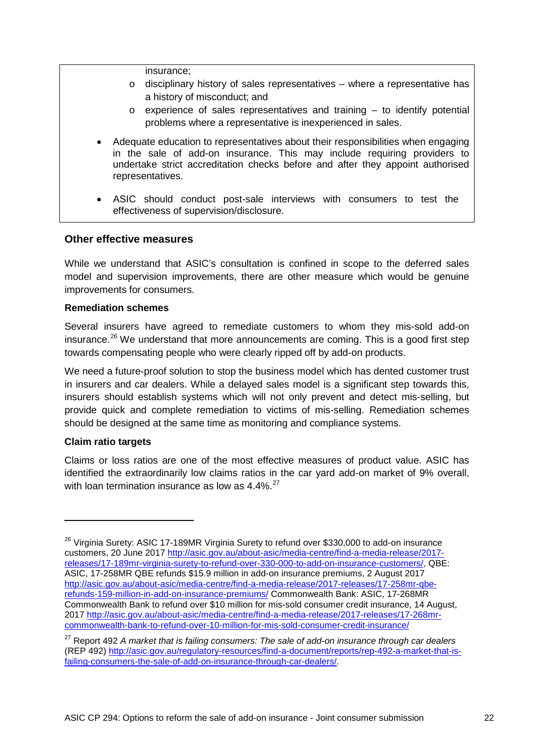insurance;

- o disciplinary history of sales representatives where a representative has a history of misconduct; and
- $\circ$  experience of sales representatives and training to identify potential problems where a representative is inexperienced in sales.
- Adequate education to representatives about their responsibilities when engaging in the sale of add-on insurance. This may include requiring providers to undertake strict accreditation checks before and after they appoint authorised representatives.
- ASIC should conduct post-sale interviews with consumers to test the effectiveness of supervision/disclosure.

## **Other effective measures**

While we understand that ASIC's consultation is confined in scope to the deferred sales model and supervision improvements, there are other measure which would be genuine improvements for consumers.

#### **Remediation schemes**

Several insurers have agreed to remediate customers to whom they mis-sold add-on insurance.<sup>[26](#page-21-0)</sup> We understand that more announcements are coming. This is a good first step towards compensating people who were clearly ripped off by add-on products.

We need a future-proof solution to stop the business model which has dented customer trust in insurers and car dealers. While a delayed sales model is a significant step towards this, insurers should establish systems which will not only prevent and detect mis-selling, but provide quick and complete remediation to victims of mis-selling. Remediation schemes should be designed at the same time as monitoring and compliance systems.

### **Claim ratio targets**

-

Claims or loss ratios are one of the most effective measures of product value. ASIC has identified the extraordinarily low claims ratios in the car yard add-on market of 9% overall, with loan termination insurance as low as  $4.4\%$ <sup>[27](#page-21-1)</sup>

<span id="page-21-0"></span><sup>&</sup>lt;sup>26</sup> Virginia Surety: ASIC 17-189MR Virginia Surety to refund over \$330,000 to add-on insurance customers, 20 June 2017 [http://asic.gov.au/about-asic/media-centre/find-a-media-release/2017](http://asic.gov.au/about-asic/media-centre/find-a-media-release/2017-releases/17-189mr-virginia-surety-to-refund-over-330-000-to-add-on-insurance-customers/) [releases/17-189mr-virginia-surety-to-refund-over-330-000-to-add-on-insurance-customers/,](http://asic.gov.au/about-asic/media-centre/find-a-media-release/2017-releases/17-189mr-virginia-surety-to-refund-over-330-000-to-add-on-insurance-customers/) QBE: ASIC, 17-258MR QBE refunds \$15.9 million in add-on insurance premiums, 2 August 2017 [http://asic.gov.au/about-asic/media-centre/find-a-media-release/2017-releases/17-258mr-qbe](http://asic.gov.au/about-asic/media-centre/find-a-media-release/2017-releases/17-258mr-qbe-refunds-159-million-in-add-on-insurance-premiums/)[refunds-159-million-in-add-on-insurance-premiums/](http://asic.gov.au/about-asic/media-centre/find-a-media-release/2017-releases/17-258mr-qbe-refunds-159-million-in-add-on-insurance-premiums/) Commonwealth Bank: ASIC, 17-268MR Commonwealth Bank to refund over \$10 million for mis-sold consumer credit insurance, 14 August, 2017 [http://asic.gov.au/about-asic/media-centre/find-a-media-release/2017-releases/17-268mr](http://asic.gov.au/about-asic/media-centre/find-a-media-release/2017-releases/17-268mr-commonwealth-bank-to-refund-over-10-million-for-mis-sold-consumer-credit-insurance/)[commonwealth-bank-to-refund-over-10-million-for-mis-sold-consumer-credit-insurance/](http://asic.gov.au/about-asic/media-centre/find-a-media-release/2017-releases/17-268mr-commonwealth-bank-to-refund-over-10-million-for-mis-sold-consumer-credit-insurance/)

<span id="page-21-1"></span><sup>27</sup> Report 492 *A market that is failing consumers: The sale of add-on insurance through car dealers*  (REP 492) [http://asic.gov.au/regulatory-resources/find-a-document/reports/rep-492-a-market-that-is](http://asic.gov.au/regulatory-resources/find-a-document/reports/rep-492-a-market-that-is-failing-consumers-the-sale-of-add-on-insurance-through-car-dealers/)[failing-consumers-the-sale-of-add-on-insurance-through-car-dealers/.](http://asic.gov.au/regulatory-resources/find-a-document/reports/rep-492-a-market-that-is-failing-consumers-the-sale-of-add-on-insurance-through-car-dealers/)